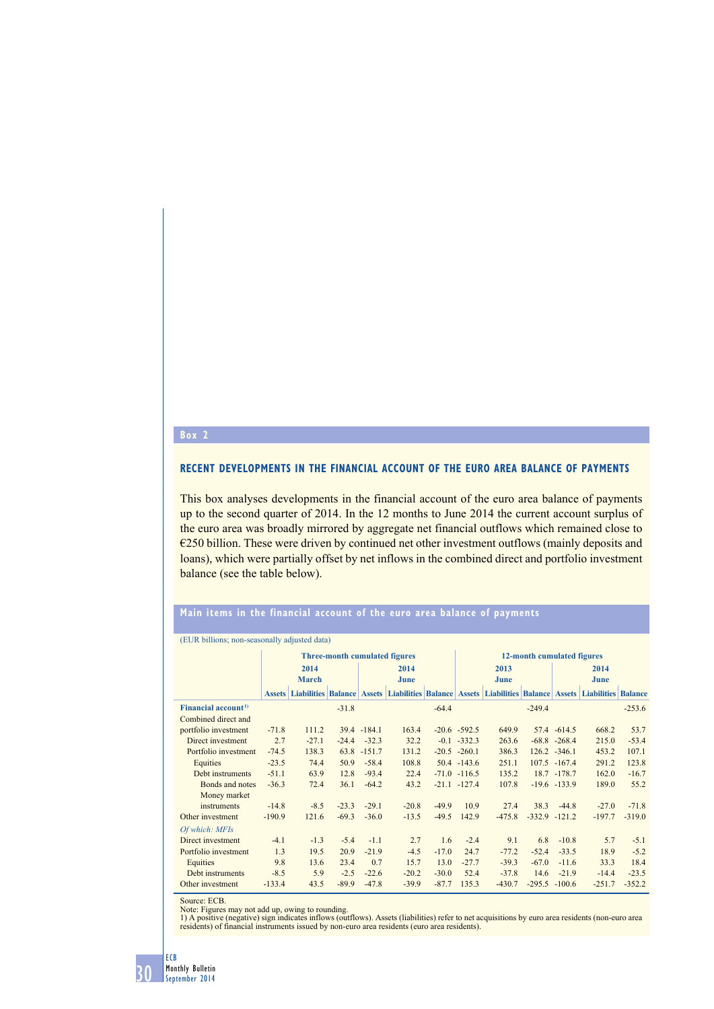## **Box 2**

## **Recent developments in the financial account of the euro area balance of payments**

This box analyses developments in the financial account of the euro area balance of payments up to the second quarter of 2014. In the 12 months to June 2014 the current account surplus of the euro area was broadly mirrored by aggregate net financial outflows which remained close to  $\epsilon$ 250 billion. These were driven by continued net other investment outflows (mainly deposits and loans), which were partially offset by net inflows in the combined direct and portfolio investment balance (see the table below).

## **main items in the financial account of the euro area balance of payments**

| (EUR billions, non-seasonary adjusted data) |                                      |         |         |             |                                                                                                             |         |                            |          |                  |                 |          |          |
|---------------------------------------------|--------------------------------------|---------|---------|-------------|-------------------------------------------------------------------------------------------------------------|---------|----------------------------|----------|------------------|-----------------|----------|----------|
|                                             | <b>Three-month cumulated figures</b> |         |         |             |                                                                                                             |         | 12-month cumulated figures |          |                  |                 |          |          |
|                                             | 2014                                 |         |         | 2014        |                                                                                                             |         | 2013                       |          |                  | 2014            |          |          |
|                                             | <b>March</b>                         |         |         | June        |                                                                                                             |         | June                       |          |                  | June            |          |          |
|                                             |                                      |         |         |             | Assets Liabilities Balance Assets Liabilities Balance Assets Liabilities Balance Assets Liabilities Balance |         |                            |          |                  |                 |          |          |
| Financial account <sup>1)</sup>             |                                      |         | $-31.8$ |             |                                                                                                             | $-64.4$ |                            |          | $-249.4$         |                 |          | $-253.6$ |
| Combined direct and                         |                                      |         |         |             |                                                                                                             |         |                            |          |                  |                 |          |          |
| portfolio investment                        | $-71.8$                              | 111.2   |         | 39.4 -184.1 | 163.4                                                                                                       |         | $-20.6 -592.5$             | 649.9    |                  | 57.4 -614.5     | 668.2    | 53.7     |
| Direct investment                           | 2.7                                  | $-27.1$ | $-24.4$ | $-32.3$     | 32.2                                                                                                        |         | $-0.1 -332.3$              | 263.6    |                  | $-68.8 - 268.4$ | 215.0    | $-53.4$  |
| Portfolio investment                        | $-74.5$                              | 138.3   |         | 63.8 -151.7 | 131.2                                                                                                       |         | $-20.5 -260.1$             | 386.3    |                  | $126.2 -346.1$  | 453.2    | 107.1    |
| Equities                                    | $-23.5$                              | 74.4    | 50.9    | $-58.4$     | 108.8                                                                                                       |         | $50.4 -143.6$              | 251.1    |                  | 107.5 -167.4    | 291.2    | 123.8    |
| Debt instruments                            | $-51.1$                              | 63.9    | 12.8    | $-93.4$     | 22.4                                                                                                        |         | $-71.0$ $-116.5$           | 135.2    |                  | 18.7 - 178.7    | 162.0    | $-16.7$  |
| Bonds and notes                             | $-36.3$                              | 72.4    | 36.1    | $-64.2$     | 43.2                                                                                                        |         | $-21.1 -127.4$             | 107.8    |                  | $-19.6 - 133.9$ | 189.0    | 55.2     |
| Money market                                |                                      |         |         |             |                                                                                                             |         |                            |          |                  |                 |          |          |
| instruments                                 | $-14.8$                              | $-8.5$  | $-23.3$ | $-29.1$     | $-20.8$                                                                                                     | $-49.9$ | 10.9                       | 27.4     | 38.3             | $-44.8$         | $-27.0$  | $-71.8$  |
| Other investment                            | $-190.9$                             | 121.6   | $-69.3$ | $-36.0$     | $-13.5$                                                                                                     | $-49.5$ | 142.9                      | $-475.8$ | $-332.9 -121.2$  |                 | $-197.7$ | $-319.0$ |
| Of which: MFIs                              |                                      |         |         |             |                                                                                                             |         |                            |          |                  |                 |          |          |
| Direct investment                           | $-4.1$                               | $-1.3$  | $-5.4$  | $-1.1$      | 2.7                                                                                                         | 1.6     | $-2.4$                     | 9.1      | 6.8              | $-10.8$         | 5.7      | $-5.1$   |
| Portfolio investment                        | 1.3                                  | 19.5    | 20.9    | $-21.9$     | $-4.5$                                                                                                      | $-17.0$ | 24.7                       | $-77.2$  | $-52.4$          | $-33.5$         | 18.9     | $-5.2$   |
| Equities                                    | 9.8                                  | 13.6    | 23.4    | 0.7         | 15.7                                                                                                        | 13.0    | $-27.7$                    | $-39.3$  | $-67.0$          | $-11.6$         | 33.3     | 18.4     |
| Debt instruments                            | $-8.5$                               | 5.9     | $-2.5$  | $-22.6$     | $-20.2$                                                                                                     | $-30.0$ | 52.4                       | $-37.8$  | 14.6             | $-21.9$         | $-14.4$  | $-23.5$  |
| Other investment                            | $-133.4$                             | 43.5    | $-89.9$ | $-47.8$     | $-39.9$                                                                                                     | $-87.7$ | 135.3                      | $-430.7$ | $-295.5 - 100.6$ |                 | $-251.7$ | $-352.2$ |

(EUR billions; non-seasonally adjusted data)

Source: ECB.<br>Note: Figures may not add up, owing to rounding.<br>1) A positive (negative) sign indicates inflows (outflows). Assets (liabilities) refer to net acquisitions by euro area residents (non-euro area<br>1) A positive (



30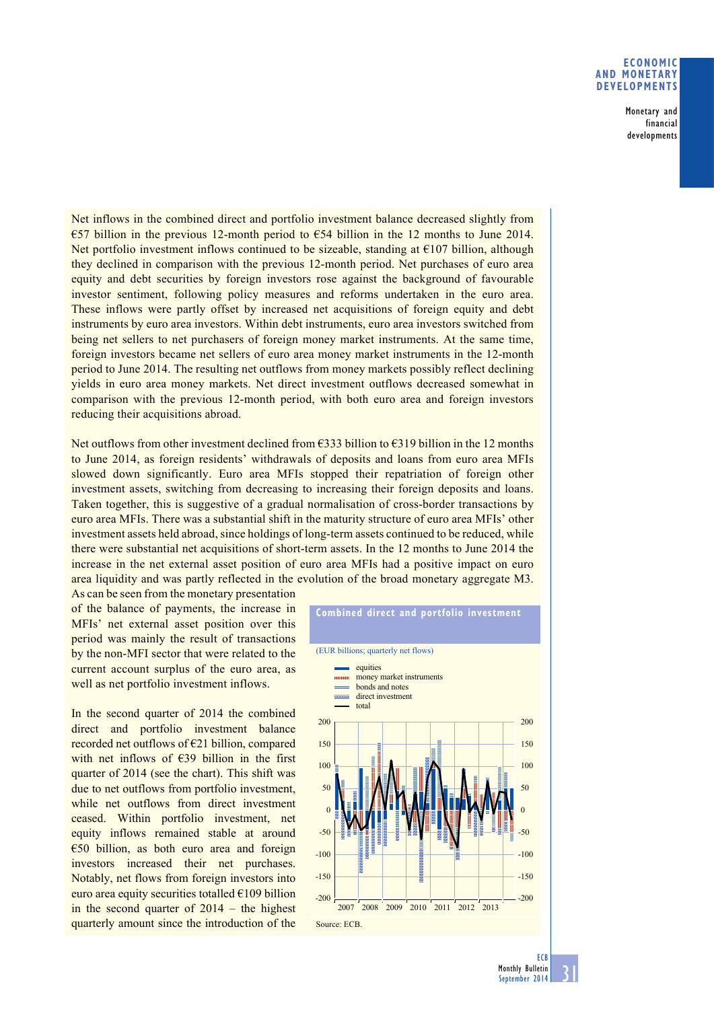## **Economic and monetary developments**

Monetary and financial developments

Net inflows in the combined direct and portfolio investment balance decreased slightly from €57 billion in the previous 12-month period to €54 billion in the 12 months to June 2014. Net portfolio investment inflows continued to be sizeable, standing at  $\epsilon$ 107 billion, although they declined in comparison with the previous 12-month period. Net purchases of euro area equity and debt securities by foreign investors rose against the background of favourable investor sentiment, following policy measures and reforms undertaken in the euro area. These inflows were partly offset by increased net acquisitions of foreign equity and debt instruments by euro area investors. Within debt instruments, euro area investors switched from being net sellers to net purchasers of foreign money market instruments. At the same time, foreign investors became net sellers of euro area money market instruments in the 12-month period to June 2014. The resulting net outflows from money markets possibly reflect declining yields in euro area money markets. Net direct investment outflows decreased somewhat in comparison with the previous 12-month period, with both euro area and foreign investors reducing their acquisitions abroad.

Net outflows from other investment declined from €333 billion to €319 billion in the 12 months to June 2014, as foreign residents' withdrawals of deposits and loans from euro area MFIs slowed down significantly. Euro area MFIs stopped their repatriation of foreign other investment assets, switching from decreasing to increasing their foreign deposits and loans. Taken together, this is suggestive of a gradual normalisation of cross-border transactions by euro area MFIs. There was a substantial shift in the maturity structure of euro area MFIs' other investment assets held abroad, since holdings of long-term assets continued to be reduced, while there were substantial net acquisitions of short-term assets. In the 12 months to June 2014 the increase in the net external asset position of euro area MFIs had a positive impact on euro area liquidity and was partly reflected in the evolution of the broad monetary aggregate M3.

As can be seen from the monetary presentation of the balance of payments, the increase in MFIs' net external asset position over this period was mainly the result of transactions by the non-MFI sector that were related to the current account surplus of the euro area, as well as net portfolio investment inflows.

In the second quarter of 2014 the combined direct and portfolio investment balance recorded net outflows of €21 billion, compared with net inflows of €39 billion in the first quarter of 2014 (see the chart). This shift was due to net outflows from portfolio investment, while net outflows from direct investment ceased. Within portfolio investment, net equity inflows remained stable at around €50 billion, as both euro area and foreign investors increased their net purchases. Notably, net flows from foreign investors into euro area equity securities totalled €109 billion in the second quarter of 2014 – the highest quarterly amount since the introduction of the